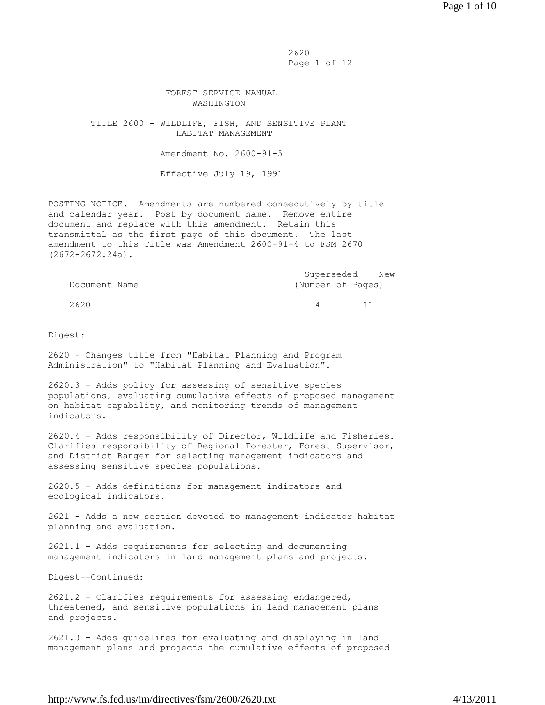2620 Page 1 of 12

## FOREST SERVICE MANUAL WASHINGTON

 TITLE 2600 - WILDLIFE, FISH, AND SENSITIVE PLANT HABITAT MANAGEMENT

Amendment No. 2600-91-5

Effective July 19, 1991

POSTING NOTICE. Amendments are numbered consecutively by title and calendar year. Post by document name. Remove entire document and replace with this amendment. Retain this transmittal as the first page of this document. The last amendment to this Title was Amendment 2600-91-4 to FSM 2670 (2672-2672.24a).

|               |                   | Superseded New |  |
|---------------|-------------------|----------------|--|
| Document Name | (Number of Pages) |                |  |

2620 4 11

Digest:

2620 - Changes title from "Habitat Planning and Program Administration" to "Habitat Planning and Evaluation".

2620.3 - Adds policy for assessing of sensitive species populations, evaluating cumulative effects of proposed management on habitat capability, and monitoring trends of management indicators.

2620.4 - Adds responsibility of Director, Wildlife and Fisheries. Clarifies responsibility of Regional Forester, Forest Supervisor, and District Ranger for selecting management indicators and assessing sensitive species populations.

2620.5 - Adds definitions for management indicators and ecological indicators.

2621 - Adds a new section devoted to management indicator habitat planning and evaluation.

2621.1 - Adds requirements for selecting and documenting management indicators in land management plans and projects.

Digest--Continued:

2621.2 - Clarifies requirements for assessing endangered, threatened, and sensitive populations in land management plans and projects.

2621.3 - Adds guidelines for evaluating and displaying in land management plans and projects the cumulative effects of proposed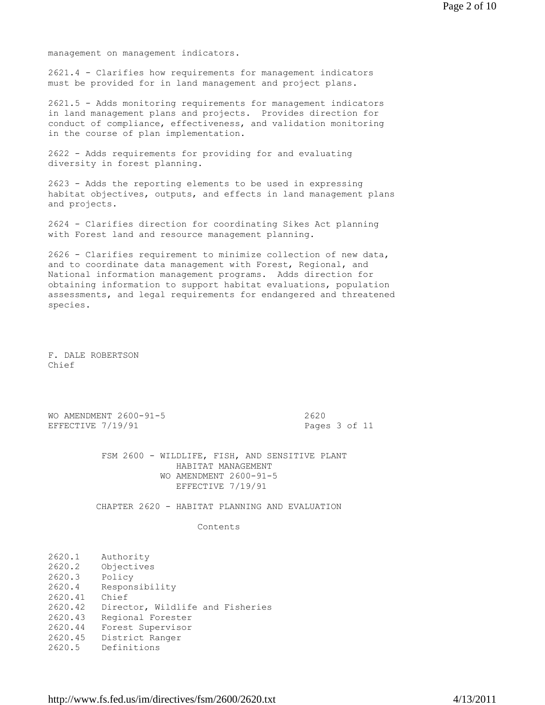management on management indicators.

2621.4 - Clarifies how requirements for management indicators must be provided for in land management and project plans.

2621.5 - Adds monitoring requirements for management indicators in land management plans and projects. Provides direction for conduct of compliance, effectiveness, and validation monitoring in the course of plan implementation.

2622 - Adds requirements for providing for and evaluating diversity in forest planning.

2623 - Adds the reporting elements to be used in expressing habitat objectives, outputs, and effects in land management plans and projects.

2624 - Clarifies direction for coordinating Sikes Act planning with Forest land and resource management planning.

2626 - Clarifies requirement to minimize collection of new data, and to coordinate data management with Forest, Regional, and National information management programs. Adds direction for obtaining information to support habitat evaluations, population assessments, and legal requirements for endangered and threatened species.

F. DALE ROBERTSON Chief

|                   | WO AMENDMENT 2600-91-5 | 2620  |
|-------------------|------------------------|-------|
| EFFECTIVE 7/19/91 |                        | Pages |

Pages 3 of 11

 FSM 2600 - WILDLIFE, FISH, AND SENSITIVE PLANT HABITAT MANAGEMENT WO AMENDMENT 2600-91-5 EFFECTIVE 7/19/91

CHAPTER 2620 - HABITAT PLANNING AND EVALUATION

Contents

| 2620.1  | Authority                        |
|---------|----------------------------------|
| 2620.2  | Objectives                       |
| 2620.3  | Policy                           |
| 2620.4  | Responsibility                   |
| 2620.41 | Chief                            |
| 2620.42 | Director, Wildlife and Fisheries |
| 2620.43 | Regional Forester                |
| 2620.44 | Forest Supervisor                |
| 2620.45 | District Ranger                  |
| 2620.5  | Definitions                      |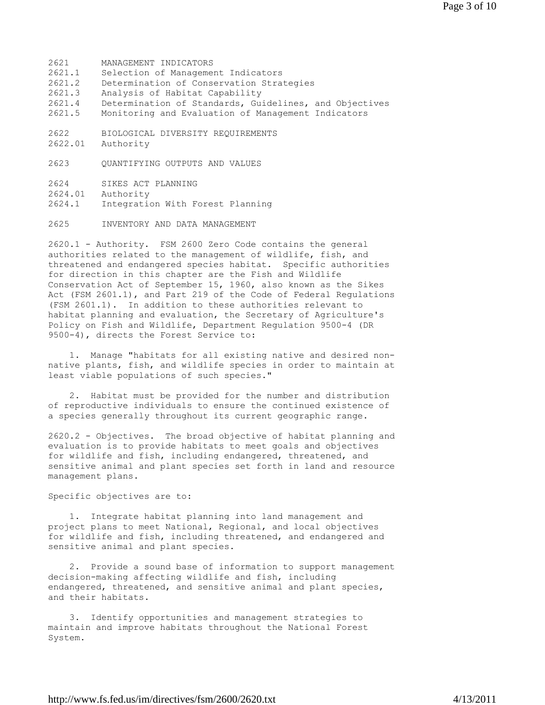2621 MANAGEMENT INDICATORS 2621.1 Selection of Management Indicators 2621.2 Determination of Conservation Strategies 2621.3 Analysis of Habitat Capability 2621.4 Determination of Standards, Guidelines, and Objectives 2621.5 Monitoring and Evaluation of Management Indicators 2622 BIOLOGICAL DIVERSITY REQUIREMENTS 2622.01 Authority 2623 QUANTIFYING OUTPUTS AND VALUES 2624 SIKES ACT PLANNING 2624.01 Authority 2624.1 Integration With Forest Planning

2625 INVENTORY AND DATA MANAGEMENT

2620.1 - Authority. FSM 2600 Zero Code contains the general authorities related to the management of wildlife, fish, and threatened and endangered species habitat. Specific authorities for direction in this chapter are the Fish and Wildlife Conservation Act of September 15, 1960, also known as the Sikes Act (FSM 2601.1), and Part 219 of the Code of Federal Regulations (FSM 2601.1). In addition to these authorities relevant to habitat planning and evaluation, the Secretary of Agriculture's Policy on Fish and Wildlife, Department Regulation 9500-4 (DR 9500-4), directs the Forest Service to:

 1. Manage "habitats for all existing native and desired nonnative plants, fish, and wildlife species in order to maintain at least viable populations of such species."

 2. Habitat must be provided for the number and distribution of reproductive individuals to ensure the continued existence of a species generally throughout its current geographic range.

2620.2 - Objectives. The broad objective of habitat planning and evaluation is to provide habitats to meet goals and objectives for wildlife and fish, including endangered, threatened, and sensitive animal and plant species set forth in land and resource management plans.

Specific objectives are to:

 1. Integrate habitat planning into land management and project plans to meet National, Regional, and local objectives for wildlife and fish, including threatened, and endangered and sensitive animal and plant species.

 2. Provide a sound base of information to support management decision-making affecting wildlife and fish, including endangered, threatened, and sensitive animal and plant species, and their habitats.

 3. Identify opportunities and management strategies to maintain and improve habitats throughout the National Forest System.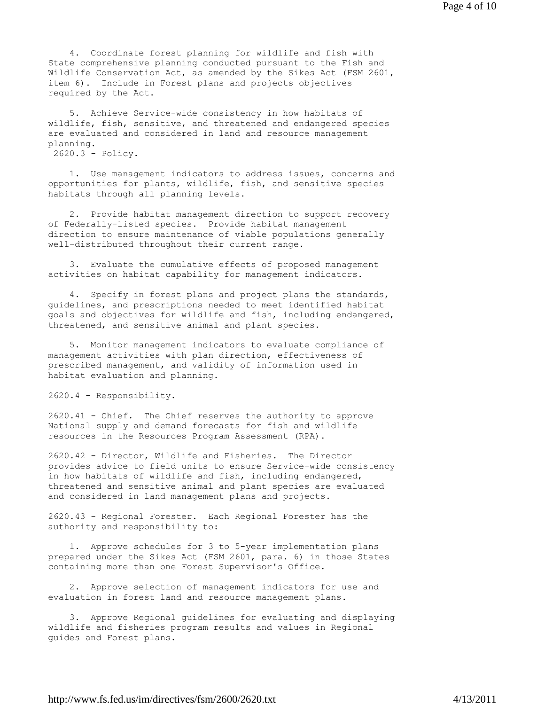4. Coordinate forest planning for wildlife and fish with State comprehensive planning conducted pursuant to the Fish and Wildlife Conservation Act, as amended by the Sikes Act (FSM 2601, item 6). Include in Forest plans and projects objectives required by the Act.

 5. Achieve Service-wide consistency in how habitats of wildlife, fish, sensitive, and threatened and endangered species are evaluated and considered in land and resource management planning. 2620.3 - Policy.

 1. Use management indicators to address issues, concerns and opportunities for plants, wildlife, fish, and sensitive species habitats through all planning levels.

 2. Provide habitat management direction to support recovery of Federally-listed species. Provide habitat management direction to ensure maintenance of viable populations generally well-distributed throughout their current range.

 3. Evaluate the cumulative effects of proposed management activities on habitat capability for management indicators.

 4. Specify in forest plans and project plans the standards, guidelines, and prescriptions needed to meet identified habitat goals and objectives for wildlife and fish, including endangered, threatened, and sensitive animal and plant species.

 5. Monitor management indicators to evaluate compliance of management activities with plan direction, effectiveness of prescribed management, and validity of information used in habitat evaluation and planning.

2620.4 - Responsibility.

2620.41 - Chief. The Chief reserves the authority to approve National supply and demand forecasts for fish and wildlife resources in the Resources Program Assessment (RPA).

2620.42 - Director, Wildlife and Fisheries. The Director provides advice to field units to ensure Service-wide consistency in how habitats of wildlife and fish, including endangered, threatened and sensitive animal and plant species are evaluated and considered in land management plans and projects.

2620.43 - Regional Forester. Each Regional Forester has the authority and responsibility to:

 1. Approve schedules for 3 to 5-year implementation plans prepared under the Sikes Act (FSM 2601, para. 6) in those States containing more than one Forest Supervisor's Office.

 2. Approve selection of management indicators for use and evaluation in forest land and resource management plans.

 3. Approve Regional guidelines for evaluating and displaying wildlife and fisheries program results and values in Regional guides and Forest plans.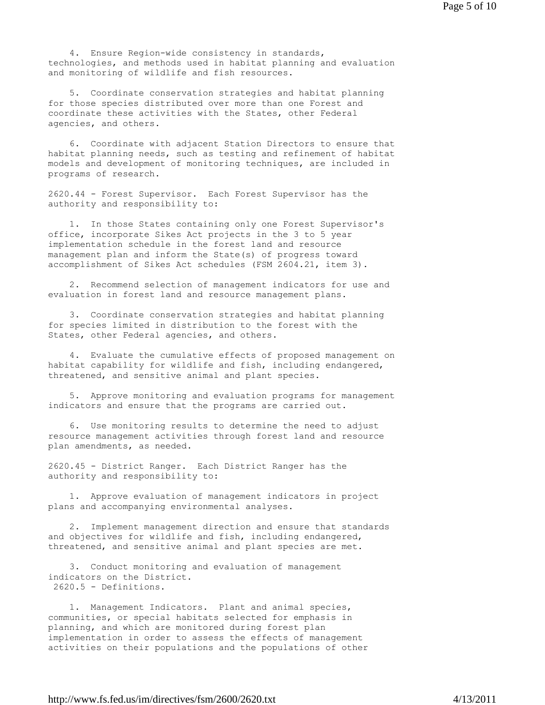4. Ensure Region-wide consistency in standards, technologies, and methods used in habitat planning and evaluation and monitoring of wildlife and fish resources.

 5. Coordinate conservation strategies and habitat planning for those species distributed over more than one Forest and coordinate these activities with the States, other Federal agencies, and others.

 6. Coordinate with adjacent Station Directors to ensure that habitat planning needs, such as testing and refinement of habitat models and development of monitoring techniques, are included in programs of research.

2620.44 - Forest Supervisor. Each Forest Supervisor has the authority and responsibility to:

 1. In those States containing only one Forest Supervisor's office, incorporate Sikes Act projects in the 3 to 5 year implementation schedule in the forest land and resource management plan and inform the State(s) of progress toward accomplishment of Sikes Act schedules (FSM 2604.21, item 3).

 2. Recommend selection of management indicators for use and evaluation in forest land and resource management plans.

 3. Coordinate conservation strategies and habitat planning for species limited in distribution to the forest with the States, other Federal agencies, and others.

 4. Evaluate the cumulative effects of proposed management on habitat capability for wildlife and fish, including endangered, threatened, and sensitive animal and plant species.

 5. Approve monitoring and evaluation programs for management indicators and ensure that the programs are carried out.

 6. Use monitoring results to determine the need to adjust resource management activities through forest land and resource plan amendments, as needed.

2620.45 - District Ranger. Each District Ranger has the authority and responsibility to:

 1. Approve evaluation of management indicators in project plans and accompanying environmental analyses.

 2. Implement management direction and ensure that standards and objectives for wildlife and fish, including endangered, threatened, and sensitive animal and plant species are met.

 3. Conduct monitoring and evaluation of management indicators on the District. 2620.5 - Definitions.

 1. Management Indicators. Plant and animal species, communities, or special habitats selected for emphasis in planning, and which are monitored during forest plan implementation in order to assess the effects of management activities on their populations and the populations of other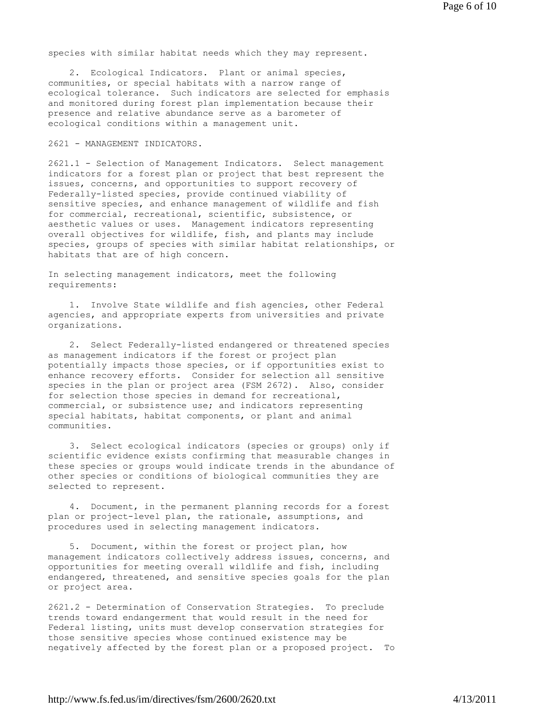species with similar habitat needs which they may represent.

 2. Ecological Indicators. Plant or animal species, communities, or special habitats with a narrow range of ecological tolerance. Such indicators are selected for emphasis and monitored during forest plan implementation because their presence and relative abundance serve as a barometer of ecological conditions within a management unit.

2621 - MANAGEMENT INDICATORS.

2621.1 - Selection of Management Indicators. Select management indicators for a forest plan or project that best represent the issues, concerns, and opportunities to support recovery of Federally-listed species, provide continued viability of sensitive species, and enhance management of wildlife and fish for commercial, recreational, scientific, subsistence, or aesthetic values or uses. Management indicators representing overall objectives for wildlife, fish, and plants may include species, groups of species with similar habitat relationships, or habitats that are of high concern.

In selecting management indicators, meet the following requirements:

 1. Involve State wildlife and fish agencies, other Federal agencies, and appropriate experts from universities and private organizations.

 2. Select Federally-listed endangered or threatened species as management indicators if the forest or project plan potentially impacts those species, or if opportunities exist to enhance recovery efforts. Consider for selection all sensitive species in the plan or project area (FSM 2672). Also, consider for selection those species in demand for recreational, commercial, or subsistence use; and indicators representing special habitats, habitat components, or plant and animal communities.

 3. Select ecological indicators (species or groups) only if scientific evidence exists confirming that measurable changes in these species or groups would indicate trends in the abundance of other species or conditions of biological communities they are selected to represent.

 4. Document, in the permanent planning records for a forest plan or project-level plan, the rationale, assumptions, and procedures used in selecting management indicators.

 5. Document, within the forest or project plan, how management indicators collectively address issues, concerns, and opportunities for meeting overall wildlife and fish, including endangered, threatened, and sensitive species goals for the plan or project area.

2621.2 - Determination of Conservation Strategies. To preclude trends toward endangerment that would result in the need for Federal listing, units must develop conservation strategies for those sensitive species whose continued existence may be negatively affected by the forest plan or a proposed project. To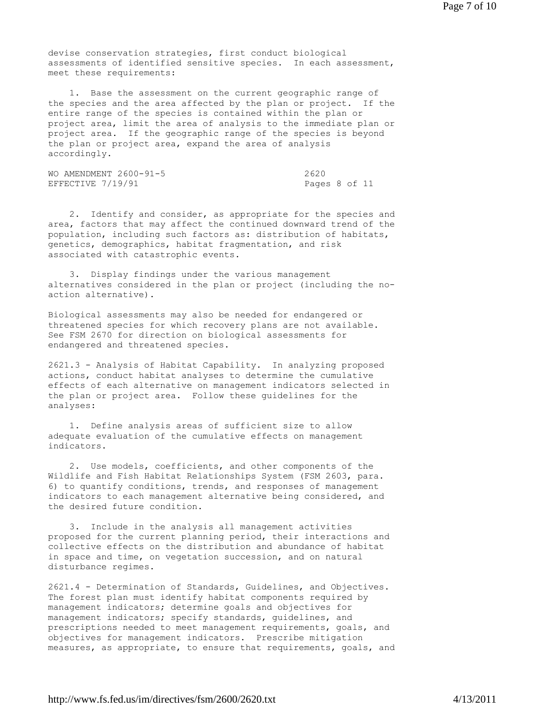devise conservation strategies, first conduct biological assessments of identified sensitive species. In each assessment, meet these requirements:

 1. Base the assessment on the current geographic range of the species and the area affected by the plan or project. If the entire range of the species is contained within the plan or project area, limit the area of analysis to the immediate plan or project area. If the geographic range of the species is beyond the plan or project area, expand the area of analysis accordingly.

WO AMENDMENT 2600-91-5 2620 EFFECTIVE 7/19/91 Pages 8 of 11

 2. Identify and consider, as appropriate for the species and area, factors that may affect the continued downward trend of the population, including such factors as: distribution of habitats, genetics, demographics, habitat fragmentation, and risk associated with catastrophic events.

 3. Display findings under the various management alternatives considered in the plan or project (including the noaction alternative).

Biological assessments may also be needed for endangered or threatened species for which recovery plans are not available. See FSM 2670 for direction on biological assessments for endangered and threatened species.

2621.3 - Analysis of Habitat Capability. In analyzing proposed actions, conduct habitat analyses to determine the cumulative effects of each alternative on management indicators selected in the plan or project area. Follow these guidelines for the analyses:

 1. Define analysis areas of sufficient size to allow adequate evaluation of the cumulative effects on management indicators.

 2. Use models, coefficients, and other components of the Wildlife and Fish Habitat Relationships System (FSM 2603, para. 6) to quantify conditions, trends, and responses of management indicators to each management alternative being considered, and the desired future condition.

 3. Include in the analysis all management activities proposed for the current planning period, their interactions and collective effects on the distribution and abundance of habitat in space and time, on vegetation succession, and on natural disturbance regimes.

2621.4 - Determination of Standards, Guidelines, and Objectives. The forest plan must identify habitat components required by management indicators; determine goals and objectives for management indicators; specify standards, guidelines, and prescriptions needed to meet management requirements, goals, and objectives for management indicators. Prescribe mitigation measures, as appropriate, to ensure that requirements, goals, and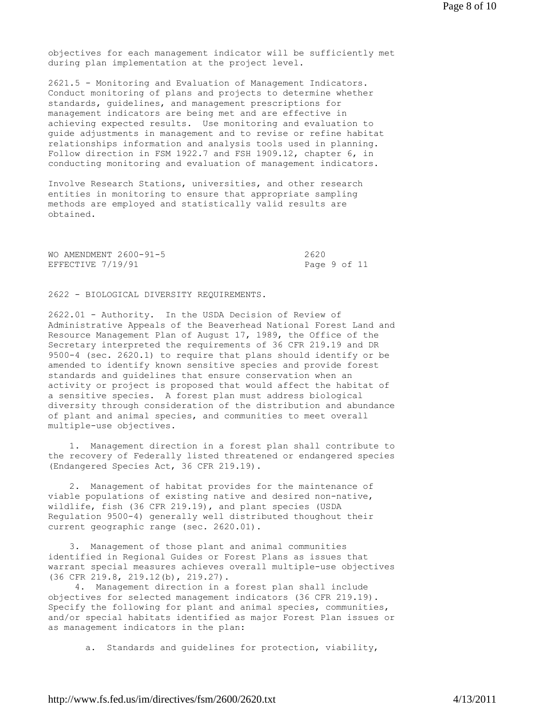objectives for each management indicator will be sufficiently met during plan implementation at the project level.

2621.5 - Monitoring and Evaluation of Management Indicators. Conduct monitoring of plans and projects to determine whether standards, guidelines, and management prescriptions for management indicators are being met and are effective in achieving expected results. Use monitoring and evaluation to guide adjustments in management and to revise or refine habitat relationships information and analysis tools used in planning. Follow direction in FSM 1922.7 and FSH 1909.12, chapter 6, in conducting monitoring and evaluation of management indicators.

Involve Research Stations, universities, and other research entities in monitoring to ensure that appropriate sampling methods are employed and statistically valid results are obtained.

| WO AMENDMENT 2600-91-5 | 2620         |  |
|------------------------|--------------|--|
| EFFECTIVE 7/19/91      | Page 9 of 11 |  |

2622 - BIOLOGICAL DIVERSITY REQUIREMENTS.

2622.01 - Authority. In the USDA Decision of Review of Administrative Appeals of the Beaverhead National Forest Land and Resource Management Plan of August 17, 1989, the Office of the Secretary interpreted the requirements of 36 CFR 219.19 and DR 9500-4 (sec. 2620.1) to require that plans should identify or be amended to identify known sensitive species and provide forest standards and guidelines that ensure conservation when an activity or project is proposed that would affect the habitat of a sensitive species. A forest plan must address biological diversity through consideration of the distribution and abundance of plant and animal species, and communities to meet overall multiple-use objectives.

 1. Management direction in a forest plan shall contribute to the recovery of Federally listed threatened or endangered species (Endangered Species Act, 36 CFR 219.19).

 2. Management of habitat provides for the maintenance of viable populations of existing native and desired non-native, wildlife, fish (36 CFR 219.19), and plant species (USDA Regulation 9500-4) generally well distributed thoughout their current geographic range (sec. 2620.01).

 3. Management of those plant and animal communities identified in Regional Guides or Forest Plans as issues that warrant special measures achieves overall multiple-use objectives (36 CFR 219.8, 219.12(b), 219.27).

 4. Management direction in a forest plan shall include objectives for selected management indicators (36 CFR 219.19). Specify the following for plant and animal species, communities, and/or special habitats identified as major Forest Plan issues or as management indicators in the plan:

a. Standards and guidelines for protection, viability,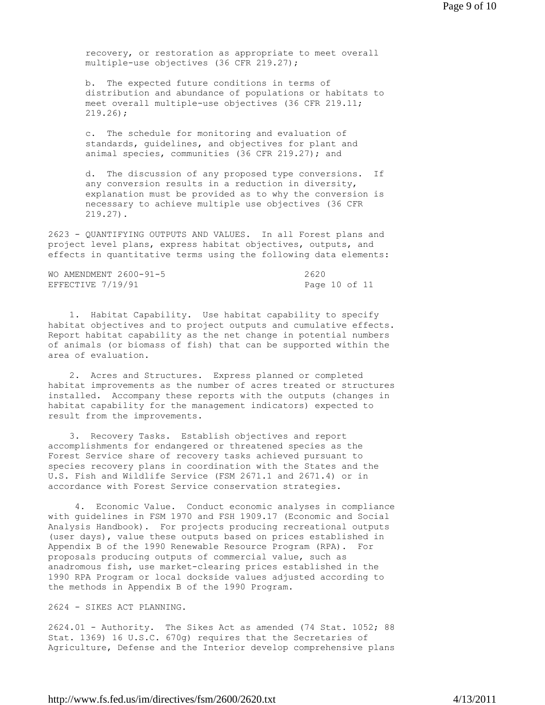recovery, or restoration as appropriate to meet overall multiple-use objectives (36 CFR 219.27);

 b. The expected future conditions in terms of distribution and abundance of populations or habitats to meet overall multiple-use objectives (36 CFR 219.11; 219.26);

 c. The schedule for monitoring and evaluation of standards, guidelines, and objectives for plant and animal species, communities (36 CFR 219.27); and

 d. The discussion of any proposed type conversions. If any conversion results in a reduction in diversity, explanation must be provided as to why the conversion is necessary to achieve multiple use objectives (36 CFR 219.27).

2623 - QUANTIFYING OUTPUTS AND VALUES. In all Forest plans and project level plans, express habitat objectives, outputs, and effects in quantitative terms using the following data elements:

| WO AMENDMENT 2600-91-5 | 2620          |
|------------------------|---------------|
| EFFECTIVE 7/19/91      | Page 10 of 11 |

 1. Habitat Capability. Use habitat capability to specify habitat objectives and to project outputs and cumulative effects. Report habitat capability as the net change in potential numbers of animals (or biomass of fish) that can be supported within the area of evaluation.

 2. Acres and Structures. Express planned or completed habitat improvements as the number of acres treated or structures installed. Accompany these reports with the outputs (changes in habitat capability for the management indicators) expected to result from the improvements.

 3. Recovery Tasks. Establish objectives and report accomplishments for endangered or threatened species as the Forest Service share of recovery tasks achieved pursuant to species recovery plans in coordination with the States and the U.S. Fish and Wildlife Service (FSM 2671.1 and 2671.4) or in accordance with Forest Service conservation strategies.

 4. Economic Value. Conduct economic analyses in compliance with guidelines in FSM 1970 and FSH 1909.17 (Economic and Social Analysis Handbook). For projects producing recreational outputs (user days), value these outputs based on prices established in Appendix B of the 1990 Renewable Resource Program (RPA). For proposals producing outputs of commercial value, such as anadromous fish, use market-clearing prices established in the 1990 RPA Program or local dockside values adjusted according to the methods in Appendix B of the 1990 Program.

## 2624 - SIKES ACT PLANNING.

2624.01 - Authority. The Sikes Act as amended (74 Stat. 1052; 88 Stat. 1369) 16 U.S.C. 670g) requires that the Secretaries of Agriculture, Defense and the Interior develop comprehensive plans